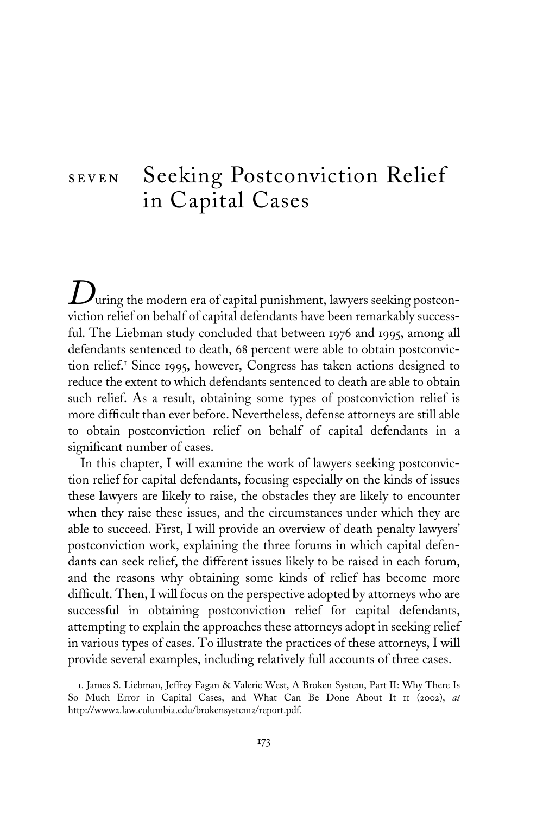# seven Seeking Postconviction Relief in Capital Cases

**D**uring the modern era of capital punishment, lawyers seeking postconviction relief on behalf of capital defendants have been remarkably successful. The Liebman study concluded that between 1976 and 1995, among all defendants sentenced to death, 68 percent were able to obtain postconviction relief.<sup>1</sup> Since 1995, however, Congress has taken actions designed to reduce the extent to which defendants sentenced to death are able to obtain such relief. As a result, obtaining some types of postconviction relief is more difficult than ever before. Nevertheless, defense attorneys are still able to obtain postconviction relief on behalf of capital defendants in a significant number of cases.

In this chapter, I will examine the work of lawyers seeking postconviction relief for capital defendants, focusing especially on the kinds of issues these lawyers are likely to raise, the obstacles they are likely to encounter when they raise these issues, and the circumstances under which they are able to succeed. First, I will provide an overview of death penalty lawyers' postconviction work, explaining the three forums in which capital defendants can seek relief, the different issues likely to be raised in each forum, and the reasons why obtaining some kinds of relief has become more difficult. Then, I will focus on the perspective adopted by attorneys who are successful in obtaining postconviction relief for capital defendants, attempting to explain the approaches these attorneys adopt in seeking relief in various types of cases. To illustrate the practices of these attorneys, I will provide several examples, including relatively full accounts of three cases.

<sup>1.</sup> James S. Liebman, Jeffrey Fagan & Valerie West, A Broken System, Part II: Why There Is So Much Error in Capital Cases, and What Can Be Done About It 11 (2002), *at* http://www2.law.columbia.edu/brokensystem2/report.pdf.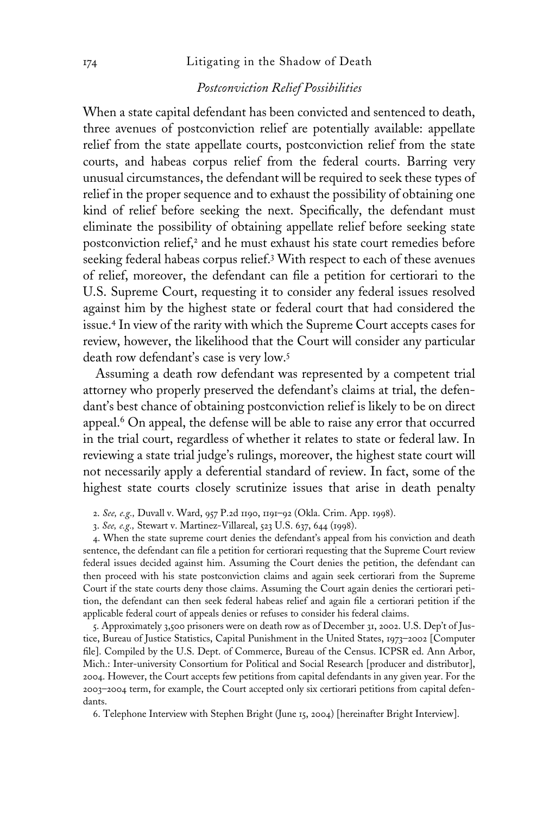### *Postconviction Relief Possibilities*

When a state capital defendant has been convicted and sentenced to death, three avenues of postconviction relief are potentially available: appellate relief from the state appellate courts, postconviction relief from the state courts, and habeas corpus relief from the federal courts. Barring very unusual circumstances, the defendant will be required to seek these types of relief in the proper sequence and to exhaust the possibility of obtaining one kind of relief before seeking the next. Specifically, the defendant must eliminate the possibility of obtaining appellate relief before seeking state postconviction relief,<sup>2</sup> and he must exhaust his state court remedies before seeking federal habeas corpus relief.<sup>3</sup> With respect to each of these avenues of relief, moreover, the defendant can file a petition for certiorari to the U.S. Supreme Court, requesting it to consider any federal issues resolved against him by the highest state or federal court that had considered the issue.4 In view of the rarity with which the Supreme Court accepts cases for review, however, the likelihood that the Court will consider any particular death row defendant's case is very low.5

Assuming a death row defendant was represented by a competent trial attorney who properly preserved the defendant's claims at trial, the defendant's best chance of obtaining postconviction relief is likely to be on direct appeal.<sup>6</sup> On appeal, the defense will be able to raise any error that occurred in the trial court, regardless of whether it relates to state or federal law. In reviewing a state trial judge's rulings, moreover, the highest state court will not necessarily apply a deferential standard of review. In fact, some of the highest state courts closely scrutinize issues that arise in death penalty

- 2. *See, e.g.,* Duvall v. Ward, 957 P.2d 1190, 1191–92 (Okla. Crim. App. 1998).
- 3. *See, e.g.,* Stewart v. Martinez-Villareal, 523 U.S. 637, 644 (1998).

4. When the state supreme court denies the defendant's appeal from his conviction and death sentence, the defendant can file a petition for certiorari requesting that the Supreme Court review federal issues decided against him. Assuming the Court denies the petition, the defendant can then proceed with his state postconviction claims and again seek certiorari from the Supreme Court if the state courts deny those claims. Assuming the Court again denies the certiorari petition, the defendant can then seek federal habeas relief and again file a certiorari petition if the applicable federal court of appeals denies or refuses to consider his federal claims.

5. Approximately 3,500 prisoners were on death row as of December 31, 2002. U.S. Dep't of Justice, Bureau of Justice Statistics, Capital Punishment in the United States, 1973–2002 [Computer file]. Compiled by the U.S. Dept. of Commerce, Bureau of the Census. ICPSR ed. Ann Arbor, Mich.: Inter-university Consortium for Political and Social Research [producer and distributor], 2004. However, the Court accepts few petitions from capital defendants in any given year. For the 2003–2004 term, for example, the Court accepted only six certiorari petitions from capital defendants.

6. Telephone Interview with Stephen Bright (June 15, 2004) [hereinafter Bright Interview].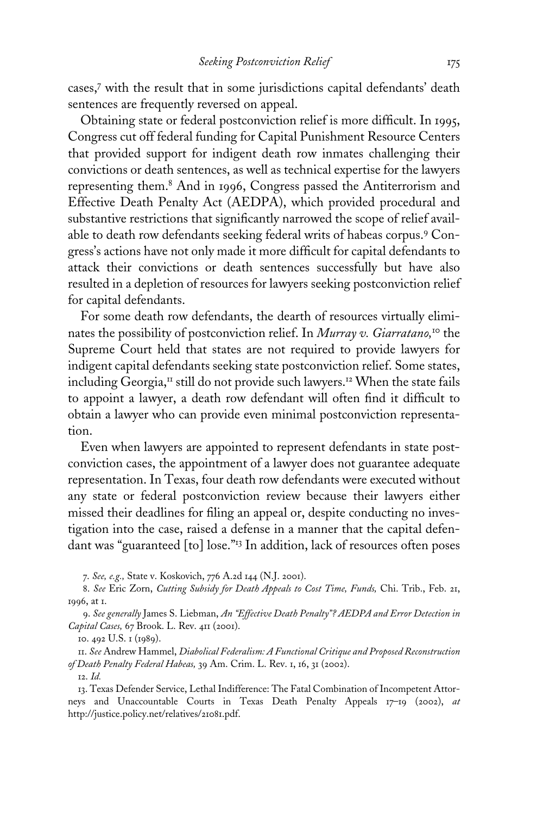cases,<sup>7</sup> with the result that in some jurisdictions capital defendants' death sentences are frequently reversed on appeal.

Obtaining state or federal postconviction relief is more difficult. In 1995, Congress cut off federal funding for Capital Punishment Resource Centers that provided support for indigent death row inmates challenging their convictions or death sentences, as well as technical expertise for the lawyers representing them.8 And in 1996, Congress passed the Antiterrorism and Effective Death Penalty Act (AEDPA), which provided procedural and substantive restrictions that significantly narrowed the scope of relief available to death row defendants seeking federal writs of habeas corpus.9 Congress's actions have not only made it more difficult for capital defendants to attack their convictions or death sentences successfully but have also resulted in a depletion of resources for lawyers seeking postconviction relief for capital defendants.

For some death row defendants, the dearth of resources virtually eliminates the possibility of postconviction relief. In *Murray v. Giarratano,*<sup>10</sup> the Supreme Court held that states are not required to provide lawyers for indigent capital defendants seeking state postconviction relief. Some states, including Georgia, $\pi$  still do not provide such lawyers.<sup>12</sup> When the state fails to appoint a lawyer, a death row defendant will often find it difficult to obtain a lawyer who can provide even minimal postconviction representation.

Even when lawyers are appointed to represent defendants in state postconviction cases, the appointment of a lawyer does not guarantee adequate representation. In Texas, four death row defendants were executed without any state or federal postconviction review because their lawyers either missed their deadlines for filing an appeal or, despite conducting no investigation into the case, raised a defense in a manner that the capital defendant was "guaranteed [to] lose."<sup>13</sup> In addition, lack of resources often poses

7. *See, e.g.,* State v. Koskovich, 776 A.2d 144 (N.J. 2001).

8. *See* Eric Zorn, *Cutting Subsidy for Death Appeals to Cost Time, Funds,* Chi. Trib., Feb. 21, 1996, at 1.

9. *See generally* James S. Liebman, *An "Effective Death Penalty"? AEDPA and Error Detection in Capital Cases,* 67 Brook. L. Rev. 411 (2001).

10. 492 U.S. 1 (1989).

11. *See* Andrew Hammel, *Diabolical Federalism: A Functional Critique and Proposed Reconstruction of Death Penalty Federal Habeas,* 39 Am. Crim. L. Rev. 1, 16, 31 (2002).

12. *Id.*

13. Texas Defender Service, Lethal Indifference: The Fatal Combination of Incompetent Attorneys and Unaccountable Courts in Texas Death Penalty Appeals 17–19 (2002), *at* http://justice.policy.net/relatives/21081.pdf.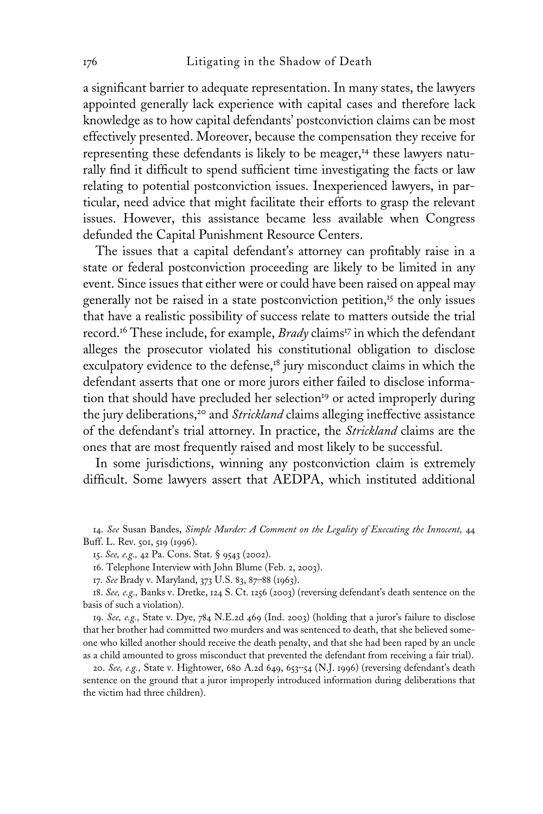a significant barrier to adequate representation. In many states, the lawyers appointed generally lack experience with capital cases and therefore lack knowledge as to how capital defendants' postconviction claims can be most effectively presented. Moreover, because the compensation they receive for representing these defendants is likely to be meager,<sup>14</sup> these lawyers naturally find it difficult to spend sufficient time investigating the facts or law relating to potential postconviction issues. Inexperienced lawyers, in particular, need advice that might facilitate their efforts to grasp the relevant issues. However, this assistance became less available when Congress defunded the Capital Punishment Resource Centers.

The issues that a capital defendant's attorney can profitably raise in a state or federal postconviction proceeding are likely to be limited in any event. Since issues that either were or could have been raised on appeal may generally not be raised in a state postconviction petition,<sup>15</sup> the only issues that have a realistic possibility of success relate to matters outside the trial record.<sup>16</sup> These include, for example, *Brady* claims<sup>17</sup> in which the defendant alleges the prosecutor violated his constitutional obligation to disclose exculpatory evidence to the defense,<sup>18</sup> jury misconduct claims in which the defendant asserts that one or more jurors either failed to disclose information that should have precluded her selection<sup>19</sup> or acted improperly during the jury deliberations,<sup>20</sup> and *Strickland* claims alleging ineffective assistance of the defendant's trial attorney. In practice, the *Strickland* claims are the ones that are most frequently raised and most likely to be successful.

In some jurisdictions, winning any postconviction claim is extremely difficult. Some lawyers assert that AEDPA, which instituted additional

18. *See, e.g.,* Banks v. Dretke, 124 S. Ct. 1256 (2003) (reversing defendant's death sentence on the basis of such a violation).

19. *See, e.g.,* State v. Dye, 784 N.E.2d 469 (Ind. 2003) (holding that a juror's failure to disclose that her brother had committed two murders and was sentenced to death, that she believed someone who killed another should receive the death penalty, and that she had been raped by an uncle as a child amounted to gross misconduct that prevented the defendant from receiving a fair trial).

20. *See, e.g.,* State v. Hightower, 680 A.2d 649, 653–54 (N.J. 1996) (reversing defendant's death sentence on the ground that a juror improperly introduced information during deliberations that the victim had three children).

<sup>14.</sup> *See* Susan Bandes, *Simple Murder: A Comment on the Legality of Executing the Innocent,* 44 Buff. L. Rev. 501, 519 (1996).

<sup>15.</sup> *See, e.g.,* 42 Pa. Cons. Stat. § 9543 (2002).

<sup>16.</sup> Telephone Interview with John Blume (Feb. 2, 2003).

<sup>17.</sup> *See* Brady v. Maryland, 373 U.S. 83, 87–88 (1963).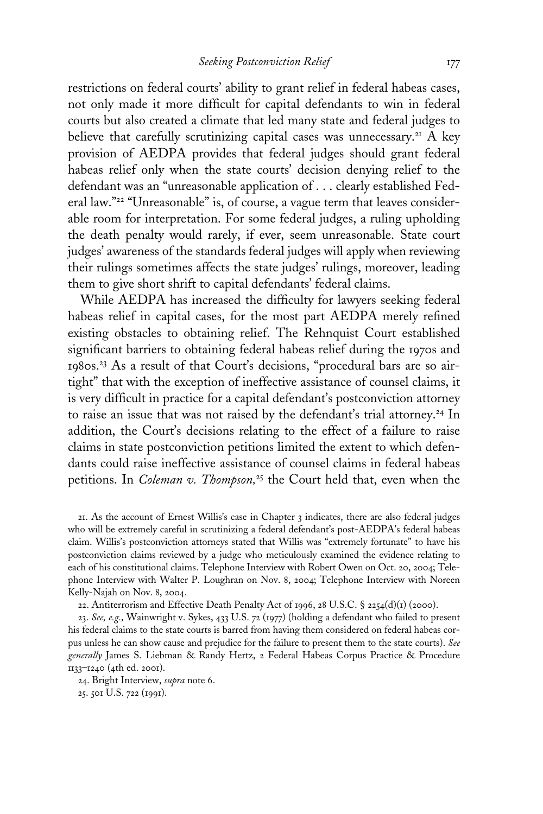restrictions on federal courts' ability to grant relief in federal habeas cases, not only made it more difficult for capital defendants to win in federal courts but also created a climate that led many state and federal judges to believe that carefully scrutinizing capital cases was unnecessary.<sup>21</sup> A key provision of AEDPA provides that federal judges should grant federal habeas relief only when the state courts' decision denying relief to the defendant was an "unreasonable application of . . . clearly established Federal law."<sup>22</sup> "Unreasonable" is, of course, a vague term that leaves considerable room for interpretation. For some federal judges, a ruling upholding the death penalty would rarely, if ever, seem unreasonable. State court judges' awareness of the standards federal judges will apply when reviewing their rulings sometimes affects the state judges' rulings, moreover, leading them to give short shrift to capital defendants' federal claims.

While AEDPA has increased the difficulty for lawyers seeking federal habeas relief in capital cases, for the most part AEDPA merely refined existing obstacles to obtaining relief. The Rehnquist Court established significant barriers to obtaining federal habeas relief during the 1970s and 1980s.<sup>23</sup> As a result of that Court's decisions, "procedural bars are so airtight" that with the exception of ineffective assistance of counsel claims, it is very difficult in practice for a capital defendant's postconviction attorney to raise an issue that was not raised by the defendant's trial attorney.<sup>24</sup> In addition, the Court's decisions relating to the effect of a failure to raise claims in state postconviction petitions limited the extent to which defendants could raise ineffective assistance of counsel claims in federal habeas petitions. In *Coleman v. Thompson,*<sup>25</sup> the Court held that, even when the

21. As the account of Ernest Willis's case in Chapter 3 indicates, there are also federal judges who will be extremely careful in scrutinizing a federal defendant's post-AEDPA's federal habeas claim. Willis's postconviction attorneys stated that Willis was "extremely fortunate" to have his postconviction claims reviewed by a judge who meticulously examined the evidence relating to each of his constitutional claims. Telephone Interview with Robert Owen on Oct. 20, 2004; Telephone Interview with Walter P. Loughran on Nov. 8, 2004; Telephone Interview with Noreen Kelly-Najah on Nov. 8, 2004.

22. Antiterrorism and Effective Death Penalty Act of 1996, 28 U.S.C. § 2254(d)(1) (2000).

23. *See, e.g.,* Wainwright v. Sykes, 433 U.S. 72 (1977) (holding a defendant who failed to present his federal claims to the state courts is barred from having them considered on federal habeas corpus unless he can show cause and prejudice for the failure to present them to the state courts). *See generally* James S. Liebman & Randy Hertz, 2 Federal Habeas Corpus Practice & Procedure 1133–1240 (4th ed. 2001).

24. Bright Interview, *supra* note 6.

25. 501 U.S. 722 (1991).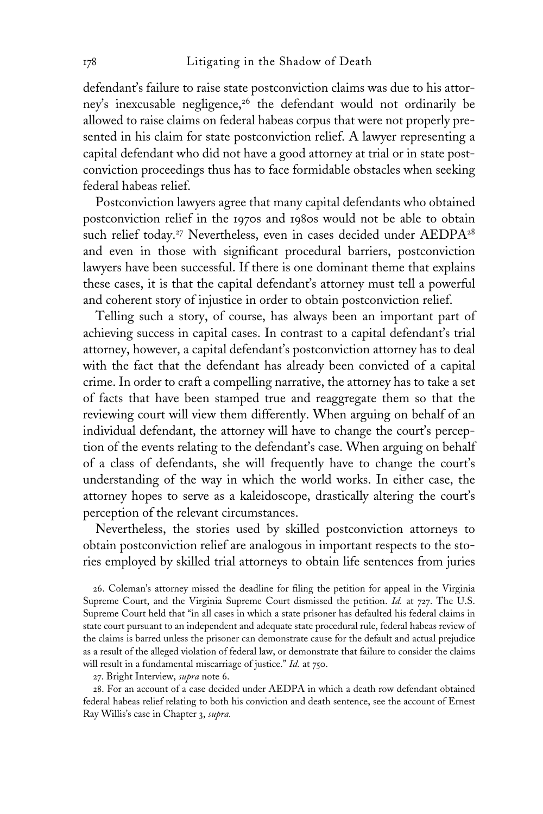defendant's failure to raise state postconviction claims was due to his attorney's inexcusable negligence,<sup>26</sup> the defendant would not ordinarily be allowed to raise claims on federal habeas corpus that were not properly presented in his claim for state postconviction relief. A lawyer representing a capital defendant who did not have a good attorney at trial or in state postconviction proceedings thus has to face formidable obstacles when seeking federal habeas relief.

Postconviction lawyers agree that many capital defendants who obtained postconviction relief in the 1970s and 1980s would not be able to obtain such relief today.<sup>27</sup> Nevertheless, even in cases decided under AEDPA<sup>28</sup> and even in those with significant procedural barriers, postconviction lawyers have been successful. If there is one dominant theme that explains these cases, it is that the capital defendant's attorney must tell a powerful and coherent story of injustice in order to obtain postconviction relief.

Telling such a story, of course, has always been an important part of achieving success in capital cases. In contrast to a capital defendant's trial attorney, however, a capital defendant's postconviction attorney has to deal with the fact that the defendant has already been convicted of a capital crime. In order to craft a compelling narrative, the attorney has to take a set of facts that have been stamped true and reaggregate them so that the reviewing court will view them differently. When arguing on behalf of an individual defendant, the attorney will have to change the court's perception of the events relating to the defendant's case. When arguing on behalf of a class of defendants, she will frequently have to change the court's understanding of the way in which the world works. In either case, the attorney hopes to serve as a kaleidoscope, drastically altering the court's perception of the relevant circumstances.

Nevertheless, the stories used by skilled postconviction attorneys to obtain postconviction relief are analogous in important respects to the stories employed by skilled trial attorneys to obtain life sentences from juries

26. Coleman's attorney missed the deadline for filing the petition for appeal in the Virginia Supreme Court, and the Virginia Supreme Court dismissed the petition. *Id.* at 727. The U.S. Supreme Court held that "in all cases in which a state prisoner has defaulted his federal claims in state court pursuant to an independent and adequate state procedural rule, federal habeas review of the claims is barred unless the prisoner can demonstrate cause for the default and actual prejudice as a result of the alleged violation of federal law, or demonstrate that failure to consider the claims will result in a fundamental miscarriage of justice." *Id.* at 750.

27. Bright Interview, *supra* note 6.

28. For an account of a case decided under AEDPA in which a death row defendant obtained federal habeas relief relating to both his conviction and death sentence, see the account of Ernest Ray Willis's case in Chapter 3, *supra.*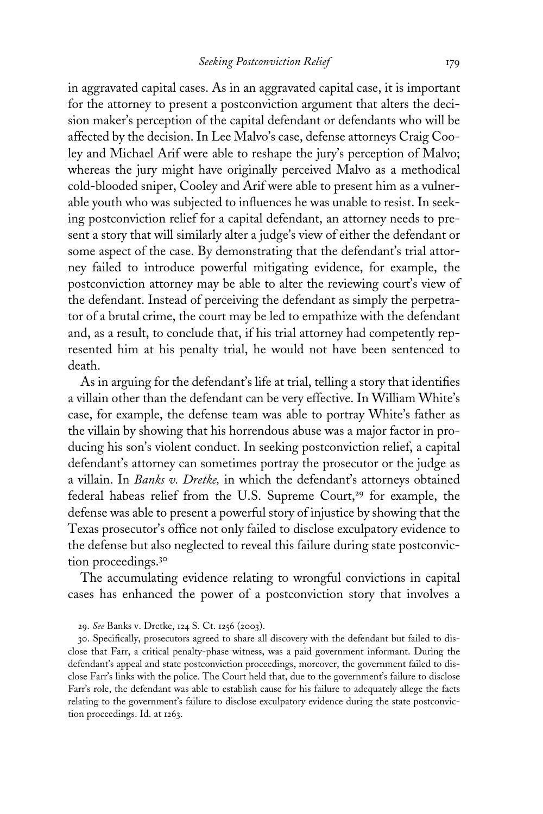in aggravated capital cases. As in an aggravated capital case, it is important for the attorney to present a postconviction argument that alters the decision maker's perception of the capital defendant or defendants who will be affected by the decision. In Lee Malvo's case, defense attorneys Craig Cooley and Michael Arif were able to reshape the jury's perception of Malvo; whereas the jury might have originally perceived Malvo as a methodical cold-blooded sniper, Cooley and Arif were able to present him as a vulnerable youth who was subjected to influences he was unable to resist. In seeking postconviction relief for a capital defendant, an attorney needs to present a story that will similarly alter a judge's view of either the defendant or some aspect of the case. By demonstrating that the defendant's trial attorney failed to introduce powerful mitigating evidence, for example, the postconviction attorney may be able to alter the reviewing court's view of the defendant. Instead of perceiving the defendant as simply the perpetrator of a brutal crime, the court may be led to empathize with the defendant and, as a result, to conclude that, if his trial attorney had competently represented him at his penalty trial, he would not have been sentenced to death.

As in arguing for the defendant's life at trial, telling a story that identifies a villain other than the defendant can be very effective. In William White's case, for example, the defense team was able to portray White's father as the villain by showing that his horrendous abuse was a major factor in producing his son's violent conduct. In seeking postconviction relief, a capital defendant's attorney can sometimes portray the prosecutor or the judge as a villain. In *Banks v. Dretke,* in which the defendant's attorneys obtained federal habeas relief from the U.S. Supreme Court,<sup>29</sup> for example, the defense was able to present a powerful story of injustice by showing that the Texas prosecutor's office not only failed to disclose exculpatory evidence to the defense but also neglected to reveal this failure during state postconviction proceedings.<sup>30</sup>

The accumulating evidence relating to wrongful convictions in capital cases has enhanced the power of a postconviction story that involves a

29. *See* Banks v. Dretke, 124 S. Ct. 1256 (2003).

30. Specifically, prosecutors agreed to share all discovery with the defendant but failed to disclose that Farr, a critical penalty-phase witness, was a paid government informant. During the defendant's appeal and state postconviction proceedings, moreover, the government failed to disclose Farr's links with the police. The Court held that, due to the government's failure to disclose Farr's role, the defendant was able to establish cause for his failure to adequately allege the facts relating to the government's failure to disclose exculpatory evidence during the state postconviction proceedings. Id. at 1263.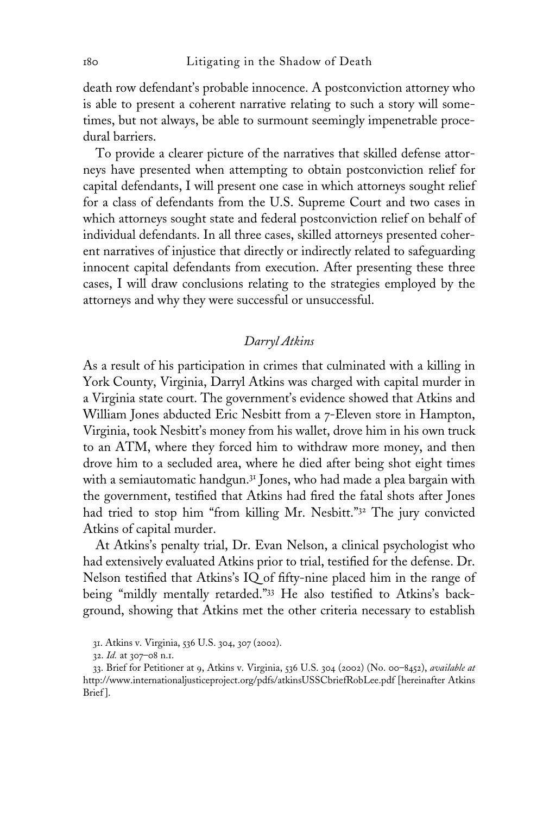death row defendant's probable innocence. A postconviction attorney who is able to present a coherent narrative relating to such a story will sometimes, but not always, be able to surmount seemingly impenetrable procedural barriers.

To provide a clearer picture of the narratives that skilled defense attorneys have presented when attempting to obtain postconviction relief for capital defendants, I will present one case in which attorneys sought relief for a class of defendants from the U.S. Supreme Court and two cases in which attorneys sought state and federal postconviction relief on behalf of individual defendants. In all three cases, skilled attorneys presented coherent narratives of injustice that directly or indirectly related to safeguarding innocent capital defendants from execution. After presenting these three cases, I will draw conclusions relating to the strategies employed by the attorneys and why they were successful or unsuccessful.

#### *Darryl Atkins*

As a result of his participation in crimes that culminated with a killing in York County, Virginia, Darryl Atkins was charged with capital murder in a Virginia state court. The government's evidence showed that Atkins and William Jones abducted Eric Nesbitt from a 7-Eleven store in Hampton, Virginia, took Nesbitt's money from his wallet, drove him in his own truck to an ATM, where they forced him to withdraw more money, and then drove him to a secluded area, where he died after being shot eight times with a semiautomatic handgun.31 Jones, who had made a plea bargain with the government, testified that Atkins had fired the fatal shots after Jones had tried to stop him "from killing Mr. Nesbitt."32 The jury convicted Atkins of capital murder.

At Atkins's penalty trial, Dr. Evan Nelson, a clinical psychologist who had extensively evaluated Atkins prior to trial, testified for the defense. Dr. Nelson testified that Atkins's IQ of fifty-nine placed him in the range of being "mildly mentally retarded."33 He also testified to Atkins's background, showing that Atkins met the other criteria necessary to establish

<sup>31.</sup> Atkins v. Virginia, 536 U.S. 304, 307 (2002).

<sup>32.</sup> *Id.* at 307–08 n.1.

<sup>33.</sup> Brief for Petitioner at 9, Atkins v. Virginia, 536 U.S. 304 (2002) (No. 00–8452), *available at* http://www.internationaljusticeproject.org/pdfs/atkinsUSSCbriefRobLee.pdf [hereinafter Atkins Brief ].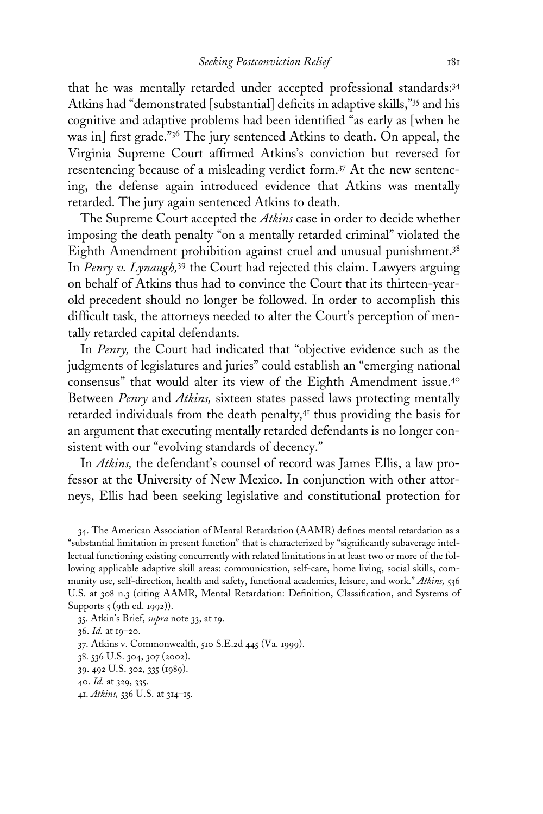that he was mentally retarded under accepted professional standards:34 Atkins had "demonstrated [substantial] deficits in adaptive skills,"35 and his cognitive and adaptive problems had been identified "as early as [when he was in] first grade."<sup>36</sup> The jury sentenced Atkins to death. On appeal, the Virginia Supreme Court affirmed Atkins's conviction but reversed for resentencing because of a misleading verdict form.37 At the new sentencing, the defense again introduced evidence that Atkins was mentally retarded. The jury again sentenced Atkins to death.

The Supreme Court accepted the *Atkins* case in order to decide whether imposing the death penalty "on a mentally retarded criminal" violated the Eighth Amendment prohibition against cruel and unusual punishment.38 In *Penry v. Lynaugh,*<sup>39</sup> the Court had rejected this claim. Lawyers arguing on behalf of Atkins thus had to convince the Court that its thirteen-yearold precedent should no longer be followed. In order to accomplish this difficult task, the attorneys needed to alter the Court's perception of mentally retarded capital defendants.

In *Penry,* the Court had indicated that "objective evidence such as the judgments of legislatures and juries" could establish an "emerging national consensus" that would alter its view of the Eighth Amendment issue.40 Between *Penry* and *Atkins,* sixteen states passed laws protecting mentally retarded individuals from the death penalty,<sup>41</sup> thus providing the basis for an argument that executing mentally retarded defendants is no longer consistent with our "evolving standards of decency."

In *Atkins,* the defendant's counsel of record was James Ellis, a law professor at the University of New Mexico. In conjunction with other attorneys, Ellis had been seeking legislative and constitutional protection for

34. The American Association of Mental Retardation (AAMR) defines mental retardation as a "substantial limitation in present function" that is characterized by "significantly subaverage intellectual functioning existing concurrently with related limitations in at least two or more of the following applicable adaptive skill areas: communication, self-care, home living, social skills, community use, self-direction, health and safety, functional academics, leisure, and work." *Atkins,* 536 U.S. at 308 n.3 (citing AAMR, Mental Retardation: Definition, Classification, and Systems of Supports  $\zeta$  (9th ed. 1992)).

35. Atkin's Brief, *supra* note 33, at 19.

36. *Id.* at 19–20.

37. Atkins v. Commonwealth, 510 S.E.2d 445 (Va. 1999).

38. 536 U.S. 304, 307 (2002).

39. 492 U.S. 302, 335 (1989).

<sup>40.</sup> *Id.* at 329, 335.

<sup>41.</sup> *Atkins,* 536 U.S. at 314–15.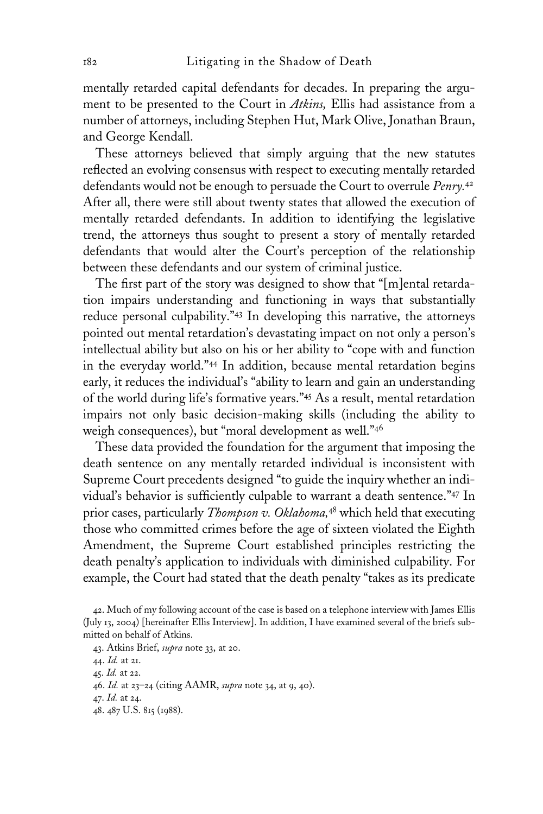mentally retarded capital defendants for decades. In preparing the argument to be presented to the Court in *Atkins,* Ellis had assistance from a number of attorneys, including Stephen Hut, Mark Olive, Jonathan Braun, and George Kendall.

These attorneys believed that simply arguing that the new statutes reflected an evolving consensus with respect to executing mentally retarded defendants would not be enough to persuade the Court to overrule *Penry.*<sup>42</sup> After all, there were still about twenty states that allowed the execution of mentally retarded defendants. In addition to identifying the legislative trend, the attorneys thus sought to present a story of mentally retarded defendants that would alter the Court's perception of the relationship between these defendants and our system of criminal justice.

The first part of the story was designed to show that "[m]ental retardation impairs understanding and functioning in ways that substantially reduce personal culpability."43 In developing this narrative, the attorneys pointed out mental retardation's devastating impact on not only a person's intellectual ability but also on his or her ability to "cope with and function in the everyday world."<sup>44</sup> In addition, because mental retardation begins early, it reduces the individual's "ability to learn and gain an understanding of the world during life's formative years."45 As a result, mental retardation impairs not only basic decision-making skills (including the ability to weigh consequences), but "moral development as well."46

These data provided the foundation for the argument that imposing the death sentence on any mentally retarded individual is inconsistent with Supreme Court precedents designed "to guide the inquiry whether an individual's behavior is sufficiently culpable to warrant a death sentence."47 In prior cases, particularly *Thompson v. Oklahoma,*<sup>48</sup> which held that executing those who committed crimes before the age of sixteen violated the Eighth Amendment, the Supreme Court established principles restricting the death penalty's application to individuals with diminished culpability. For example, the Court had stated that the death penalty "takes as its predicate

<sup>42.</sup> Much of my following account of the case is based on a telephone interview with James Ellis (July 13, 2004) [hereinafter Ellis Interview]. In addition, I have examined several of the briefs submitted on behalf of Atkins.

<sup>43.</sup> Atkins Brief, *supra* note 33, at 20.

<sup>44.</sup> *Id.* at 21.

<sup>45.</sup> *Id.* at 22.

<sup>46.</sup> *Id.* at 23–24 (citing AAMR, *supra* note 34, at 9, 40).

<sup>47.</sup> *Id.* at 24.

<sup>48. 487</sup> U.S. 815 (1988).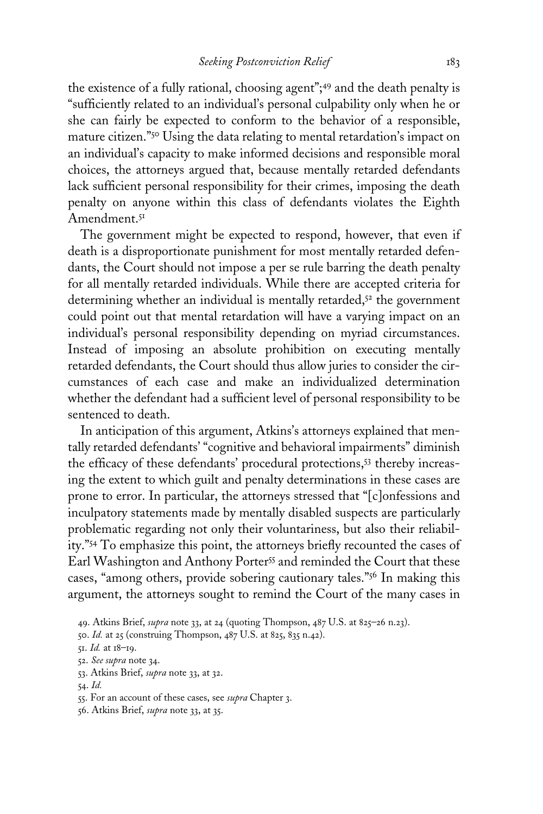the existence of a fully rational, choosing agent";49 and the death penalty is "sufficiently related to an individual's personal culpability only when he or she can fairly be expected to conform to the behavior of a responsible, mature citizen."<sup>50</sup> Using the data relating to mental retardation's impact on an individual's capacity to make informed decisions and responsible moral choices, the attorneys argued that, because mentally retarded defendants lack sufficient personal responsibility for their crimes, imposing the death penalty on anyone within this class of defendants violates the Eighth Amendment.51

The government might be expected to respond, however, that even if death is a disproportionate punishment for most mentally retarded defendants, the Court should not impose a per se rule barring the death penalty for all mentally retarded individuals. While there are accepted criteria for determining whether an individual is mentally retarded,<sup>52</sup> the government could point out that mental retardation will have a varying impact on an individual's personal responsibility depending on myriad circumstances. Instead of imposing an absolute prohibition on executing mentally retarded defendants, the Court should thus allow juries to consider the circumstances of each case and make an individualized determination whether the defendant had a sufficient level of personal responsibility to be sentenced to death.

In anticipation of this argument, Atkins's attorneys explained that mentally retarded defendants' "cognitive and behavioral impairments" diminish the efficacy of these defendants' procedural protections,<sup>53</sup> thereby increasing the extent to which guilt and penalty determinations in these cases are prone to error. In particular, the attorneys stressed that "[c]onfessions and inculpatory statements made by mentally disabled suspects are particularly problematic regarding not only their voluntariness, but also their reliability."<sup>54</sup> To emphasize this point, the attorneys briefly recounted the cases of Earl Washington and Anthony Porter<sup>55</sup> and reminded the Court that these cases, "among others, provide sobering cautionary tales."56 In making this argument, the attorneys sought to remind the Court of the many cases in

<sup>49.</sup> Atkins Brief, *supra* note 33, at 24 (quoting Thompson, 487 U.S. at 825–26 n.23).

<sup>50.</sup> *Id.* at 25 (construing Thompson, 487 U.S. at 825, 835 n.42).

<sup>51.</sup> *Id.* at 18–19.

<sup>52.</sup> *See supra* note 34.

<sup>53.</sup> Atkins Brief, *supra* note 33, at 32.

<sup>54.</sup> *Id.*

<sup>55.</sup> For an account of these cases, see *supra* Chapter 3.

<sup>56.</sup> Atkins Brief, *supra* note 33, at 35.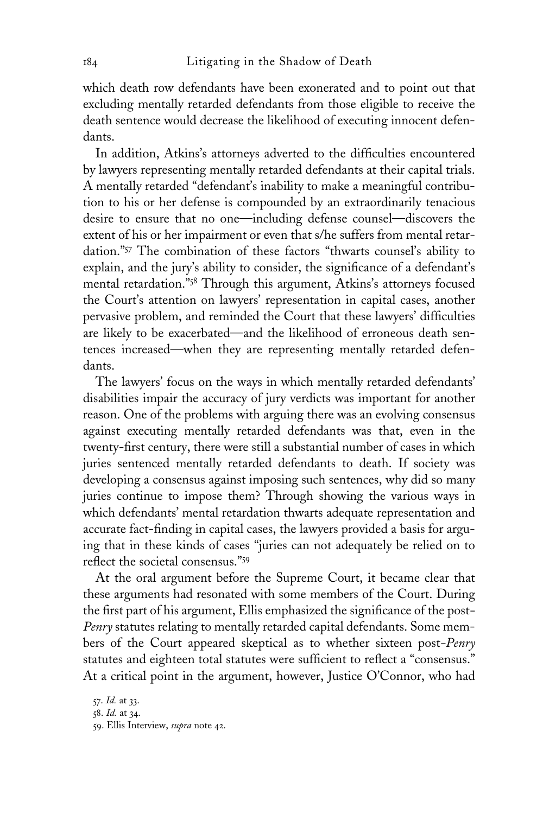which death row defendants have been exonerated and to point out that excluding mentally retarded defendants from those eligible to receive the death sentence would decrease the likelihood of executing innocent defendants.

In addition, Atkins's attorneys adverted to the difficulties encountered by lawyers representing mentally retarded defendants at their capital trials. A mentally retarded "defendant's inability to make a meaningful contribution to his or her defense is compounded by an extraordinarily tenacious desire to ensure that no one—including defense counsel—discovers the extent of his or her impairment or even that s/he suffers from mental retardation."57 The combination of these factors "thwarts counsel's ability to explain, and the jury's ability to consider, the significance of a defendant's mental retardation."<sup>58</sup> Through this argument, Atkins's attorneys focused the Court's attention on lawyers' representation in capital cases, another pervasive problem, and reminded the Court that these lawyers' difficulties are likely to be exacerbated—and the likelihood of erroneous death sentences increased—when they are representing mentally retarded defendants.

The lawyers' focus on the ways in which mentally retarded defendants' disabilities impair the accuracy of jury verdicts was important for another reason. One of the problems with arguing there was an evolving consensus against executing mentally retarded defendants was that, even in the twenty-first century, there were still a substantial number of cases in which juries sentenced mentally retarded defendants to death. If society was developing a consensus against imposing such sentences, why did so many juries continue to impose them? Through showing the various ways in which defendants' mental retardation thwarts adequate representation and accurate fact-finding in capital cases, the lawyers provided a basis for arguing that in these kinds of cases "juries can not adequately be relied on to reflect the societal consensus."<sup>59</sup>

At the oral argument before the Supreme Court, it became clear that these arguments had resonated with some members of the Court. During the first part of his argument, Ellis emphasized the significance of the post-*Penry* statutes relating to mentally retarded capital defendants. Some members of the Court appeared skeptical as to whether sixteen post*-Penry* statutes and eighteen total statutes were sufficient to reflect a "consensus." At a critical point in the argument, however, Justice O'Connor, who had

57. *Id.* at 33. 58. *Id.* at 34. 59. Ellis Interview, *supra* note 42.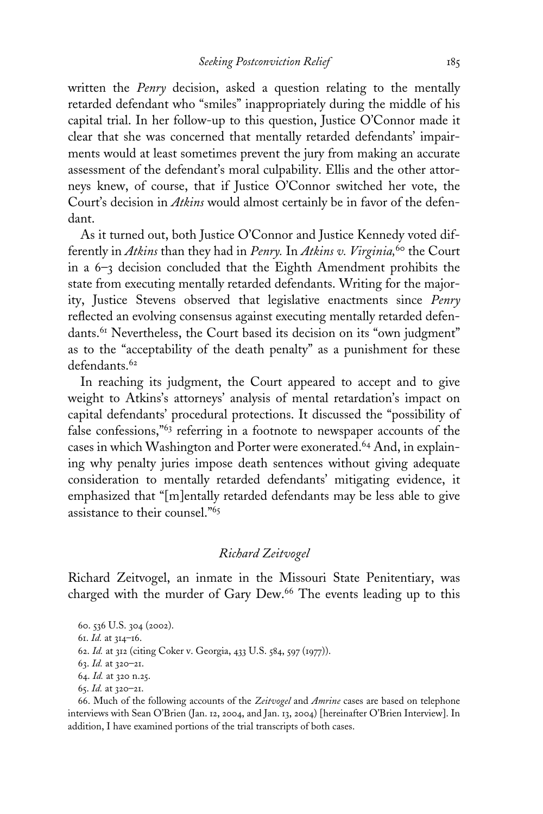written the *Penry* decision, asked a question relating to the mentally retarded defendant who "smiles" inappropriately during the middle of his capital trial. In her follow-up to this question, Justice O'Connor made it clear that she was concerned that mentally retarded defendants' impairments would at least sometimes prevent the jury from making an accurate assessment of the defendant's moral culpability. Ellis and the other attorneys knew, of course, that if Justice O'Connor switched her vote, the Court's decision in *Atkins* would almost certainly be in favor of the defendant.

As it turned out, both Justice O'Connor and Justice Kennedy voted differently in *Atkins* than they had in *Penry.* In *Atkins v. Virginia,*<sup>60</sup> the Court in a 6–3 decision concluded that the Eighth Amendment prohibits the state from executing mentally retarded defendants. Writing for the majority, Justice Stevens observed that legislative enactments since *Penry* reflected an evolving consensus against executing mentally retarded defendants.<sup>61</sup> Nevertheless, the Court based its decision on its "own judgment" as to the "acceptability of the death penalty" as a punishment for these defendants.<sup>62</sup>

In reaching its judgment, the Court appeared to accept and to give weight to Atkins's attorneys' analysis of mental retardation's impact on capital defendants' procedural protections. It discussed the "possibility of false confessions,"63 referring in a footnote to newspaper accounts of the cases in which Washington and Porter were exonerated.64 And, in explaining why penalty juries impose death sentences without giving adequate consideration to mentally retarded defendants' mitigating evidence, it emphasized that "[m]entally retarded defendants may be less able to give assistance to their counsel."<sup>65</sup>

#### *Richard Zeitvogel*

Richard Zeitvogel, an inmate in the Missouri State Penitentiary, was charged with the murder of Gary Dew.<sup>66</sup> The events leading up to this

- 60. 536 U.S. 304 (2002). 61. *Id.* at 314–16. 62. *Id.* at 312 (citing Coker v. Georgia, 433 U.S. 584, 597 (1977)). 63. *Id.* at 320–21. 64. *Id.* at 320 n.25.
- 65. *Id.* at 320–21.

66. Much of the following accounts of the *Zeitvogel* and *Amrine* cases are based on telephone interviews with Sean O'Brien (Jan. 12, 2004, and Jan. 13, 2004) [hereinafter O'Brien Interview]. In addition, I have examined portions of the trial transcripts of both cases.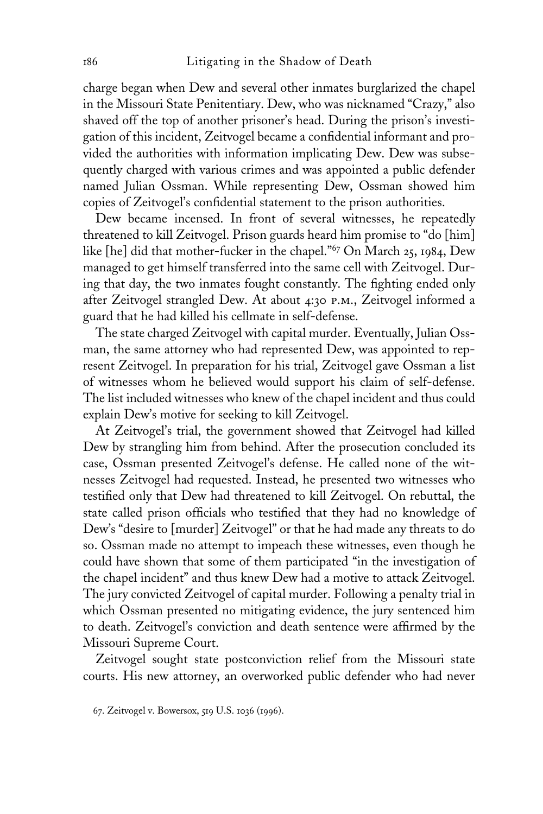charge began when Dew and several other inmates burglarized the chapel in the Missouri State Penitentiary. Dew, who was nicknamed "Crazy," also shaved off the top of another prisoner's head. During the prison's investigation of this incident, Zeitvogel became a confidential informant and provided the authorities with information implicating Dew. Dew was subsequently charged with various crimes and was appointed a public defender named Julian Ossman. While representing Dew, Ossman showed him copies of Zeitvogel's confidential statement to the prison authorities.

Dew became incensed. In front of several witnesses, he repeatedly threatened to kill Zeitvogel. Prison guards heard him promise to "do [him] like [he] did that mother-fucker in the chapel."<sup>67</sup> On March 25, 1984, Dew managed to get himself transferred into the same cell with Zeitvogel. During that day, the two inmates fought constantly. The fighting ended only after Zeitvogel strangled Dew. At about 4:30 p.m., Zeitvogel informed a guard that he had killed his cellmate in self-defense.

The state charged Zeitvogel with capital murder. Eventually, Julian Ossman, the same attorney who had represented Dew, was appointed to represent Zeitvogel. In preparation for his trial, Zeitvogel gave Ossman a list of witnesses whom he believed would support his claim of self-defense. The list included witnesses who knew of the chapel incident and thus could explain Dew's motive for seeking to kill Zeitvogel.

At Zeitvogel's trial, the government showed that Zeitvogel had killed Dew by strangling him from behind. After the prosecution concluded its case, Ossman presented Zeitvogel's defense. He called none of the witnesses Zeitvogel had requested. Instead, he presented two witnesses who testified only that Dew had threatened to kill Zeitvogel. On rebuttal, the state called prison officials who testified that they had no knowledge of Dew's "desire to [murder] Zeitvogel" or that he had made any threats to do so. Ossman made no attempt to impeach these witnesses, even though he could have shown that some of them participated "in the investigation of the chapel incident" and thus knew Dew had a motive to attack Zeitvogel. The jury convicted Zeitvogel of capital murder. Following a penalty trial in which Ossman presented no mitigating evidence, the jury sentenced him to death. Zeitvogel's conviction and death sentence were affirmed by the Missouri Supreme Court.

Zeitvogel sought state postconviction relief from the Missouri state courts. His new attorney, an overworked public defender who had never

<sup>67.</sup> Zeitvogel v. Bowersox, 519 U.S. 1036 (1996).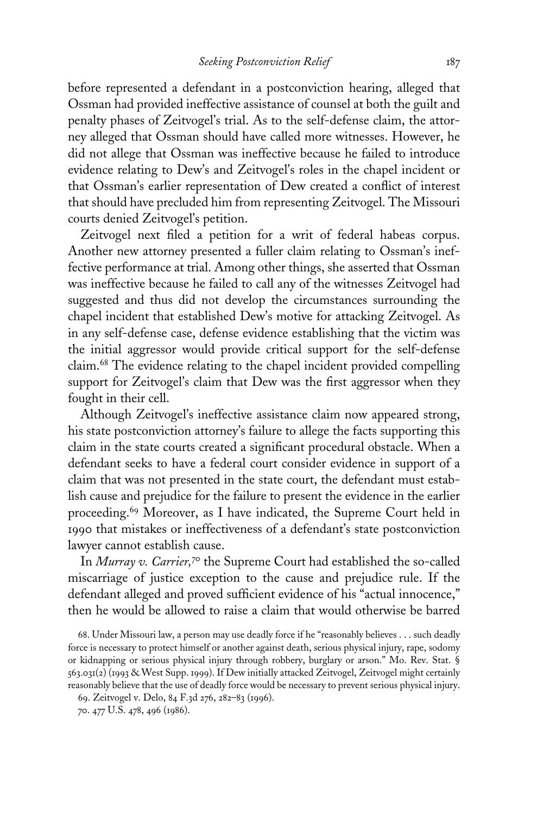before represented a defendant in a postconviction hearing, alleged that Ossman had provided ineffective assistance of counsel at both the guilt and penalty phases of Zeitvogel's trial. As to the self-defense claim, the attorney alleged that Ossman should have called more witnesses. However, he did not allege that Ossman was ineffective because he failed to introduce evidence relating to Dew's and Zeitvogel's roles in the chapel incident or that Ossman's earlier representation of Dew created a conflict of interest that should have precluded him from representing Zeitvogel. The Missouri courts denied Zeitvogel's petition.

Zeitvogel next filed a petition for a writ of federal habeas corpus. Another new attorney presented a fuller claim relating to Ossman's ineffective performance at trial. Among other things, she asserted that Ossman was ineffective because he failed to call any of the witnesses Zeitvogel had suggested and thus did not develop the circumstances surrounding the chapel incident that established Dew's motive for attacking Zeitvogel. As in any self-defense case, defense evidence establishing that the victim was the initial aggressor would provide critical support for the self-defense claim.<sup>68</sup> The evidence relating to the chapel incident provided compelling support for Zeitvogel's claim that Dew was the first aggressor when they fought in their cell.

Although Zeitvogel's ineffective assistance claim now appeared strong, his state postconviction attorney's failure to allege the facts supporting this claim in the state courts created a significant procedural obstacle. When a defendant seeks to have a federal court consider evidence in support of a claim that was not presented in the state court, the defendant must establish cause and prejudice for the failure to present the evidence in the earlier proceeding.<sup>69</sup> Moreover, as I have indicated, the Supreme Court held in 1990 that mistakes or ineffectiveness of a defendant's state postconviction lawyer cannot establish cause.

In *Murray v. Carrier,*<sup>70</sup> the Supreme Court had established the so-called miscarriage of justice exception to the cause and prejudice rule. If the defendant alleged and proved sufficient evidence of his "actual innocence," then he would be allowed to raise a claim that would otherwise be barred

<sup>68.</sup> Under Missouri law, a person may use deadly force if he "reasonably believes . . . such deadly force is necessary to protect himself or another against death, serious physical injury, rape, sodomy or kidnapping or serious physical injury through robbery, burglary or arson." Mo. Rev. Stat. § 563.031(2) (1993 & West Supp. 1999). If Dew initially attacked Zeitvogel, Zeitvogel might certainly reasonably believe that the use of deadly force would be necessary to prevent serious physical injury.

<sup>69.</sup> Zeitvogel v. Delo, 84 F.3d 276, 282–83 (1996).

<sup>70. 477</sup> U.S. 478, 496 (1986).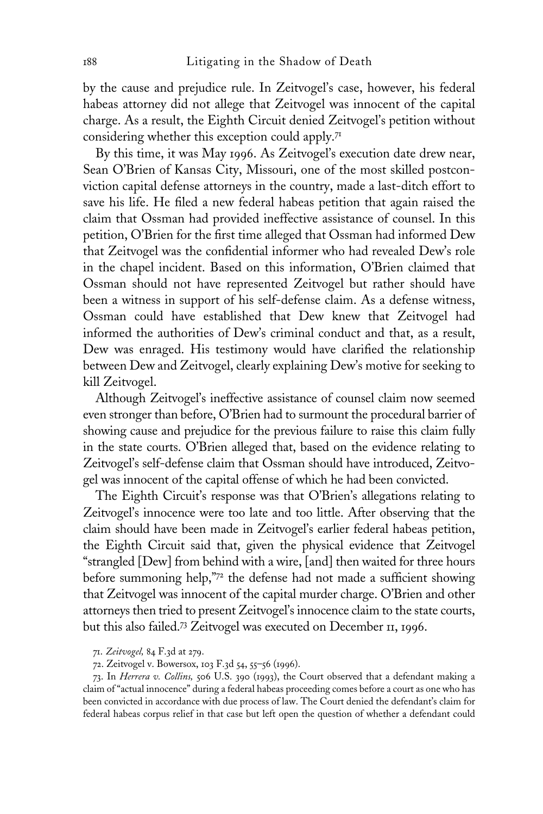by the cause and prejudice rule. In Zeitvogel's case, however, his federal habeas attorney did not allege that Zeitvogel was innocent of the capital charge. As a result, the Eighth Circuit denied Zeitvogel's petition without considering whether this exception could apply.71

By this time, it was May 1996. As Zeitvogel's execution date drew near, Sean O'Brien of Kansas City, Missouri, one of the most skilled postconviction capital defense attorneys in the country, made a last-ditch effort to save his life. He filed a new federal habeas petition that again raised the claim that Ossman had provided ineffective assistance of counsel. In this petition, O'Brien for the first time alleged that Ossman had informed Dew that Zeitvogel was the confidential informer who had revealed Dew's role in the chapel incident. Based on this information, O'Brien claimed that Ossman should not have represented Zeitvogel but rather should have been a witness in support of his self-defense claim. As a defense witness, Ossman could have established that Dew knew that Zeitvogel had informed the authorities of Dew's criminal conduct and that, as a result, Dew was enraged. His testimony would have clarified the relationship between Dew and Zeitvogel, clearly explaining Dew's motive for seeking to kill Zeitvogel.

Although Zeitvogel's ineffective assistance of counsel claim now seemed even stronger than before, O'Brien had to surmount the procedural barrier of showing cause and prejudice for the previous failure to raise this claim fully in the state courts. O'Brien alleged that, based on the evidence relating to Zeitvogel's self-defense claim that Ossman should have introduced, Zeitvogel was innocent of the capital offense of which he had been convicted.

The Eighth Circuit's response was that O'Brien's allegations relating to Zeitvogel's innocence were too late and too little. After observing that the claim should have been made in Zeitvogel's earlier federal habeas petition, the Eighth Circuit said that, given the physical evidence that Zeitvogel "strangled [Dew] from behind with a wire, [and] then waited for three hours before summoning help,"72 the defense had not made a sufficient showing that Zeitvogel was innocent of the capital murder charge. O'Brien and other attorneys then tried to present Zeitvogel's innocence claim to the state courts, but this also failed.73 Zeitvogel was executed on December 11, 1996.

73. In *Herrera v. Collins,* 506 U.S. 390 (1993), the Court observed that a defendant making a claim of "actual innocence" during a federal habeas proceeding comes before a court as one who has been convicted in accordance with due process of law. The Court denied the defendant's claim for federal habeas corpus relief in that case but left open the question of whether a defendant could

<sup>71.</sup> *Zeitvogel,* 84 F.3d at 279.

<sup>72.</sup> Zeitvogel v. Bowersox, 103 F.3d 54, 55–56 (1996).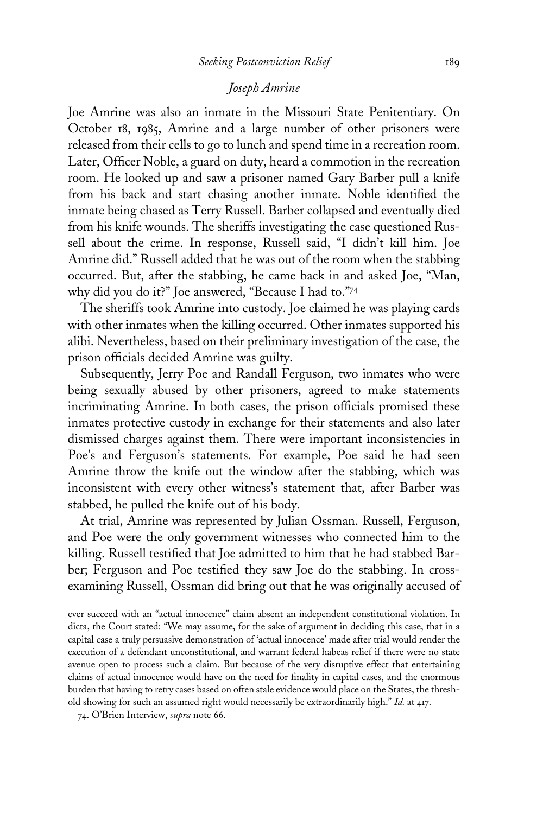## *Joseph Amrine*

Joe Amrine was also an inmate in the Missouri State Penitentiary. On October 18, 1985, Amrine and a large number of other prisoners were released from their cells to go to lunch and spend time in a recreation room. Later, Officer Noble, a guard on duty, heard a commotion in the recreation room. He looked up and saw a prisoner named Gary Barber pull a knife from his back and start chasing another inmate. Noble identified the inmate being chased as Terry Russell. Barber collapsed and eventually died from his knife wounds. The sheriffs investigating the case questioned Russell about the crime. In response, Russell said, "I didn't kill him. Joe Amrine did." Russell added that he was out of the room when the stabbing occurred. But, after the stabbing, he came back in and asked Joe, "Man, why did you do it?" Joe answered, "Because I had to."74

The sheriffs took Amrine into custody. Joe claimed he was playing cards with other inmates when the killing occurred. Other inmates supported his alibi. Nevertheless, based on their preliminary investigation of the case, the prison officials decided Amrine was guilty.

Subsequently, Jerry Poe and Randall Ferguson, two inmates who were being sexually abused by other prisoners, agreed to make statements incriminating Amrine. In both cases, the prison officials promised these inmates protective custody in exchange for their statements and also later dismissed charges against them. There were important inconsistencies in Poe's and Ferguson's statements. For example, Poe said he had seen Amrine throw the knife out the window after the stabbing, which was inconsistent with every other witness's statement that, after Barber was stabbed, he pulled the knife out of his body.

At trial, Amrine was represented by Julian Ossman. Russell, Ferguson, and Poe were the only government witnesses who connected him to the killing. Russell testified that Joe admitted to him that he had stabbed Barber; Ferguson and Poe testified they saw Joe do the stabbing. In crossexamining Russell, Ossman did bring out that he was originally accused of

ever succeed with an "actual innocence" claim absent an independent constitutional violation. In dicta, the Court stated: "We may assume, for the sake of argument in deciding this case, that in a capital case a truly persuasive demonstration of 'actual innocence' made after trial would render the execution of a defendant unconstitutional, and warrant federal habeas relief if there were no state avenue open to process such a claim. But because of the very disruptive effect that entertaining claims of actual innocence would have on the need for finality in capital cases, and the enormous burden that having to retry cases based on often stale evidence would place on the States, the threshold showing for such an assumed right would necessarily be extraordinarily high." *Id.* at 417.

<sup>74.</sup> O'Brien Interview, *supra* note 66.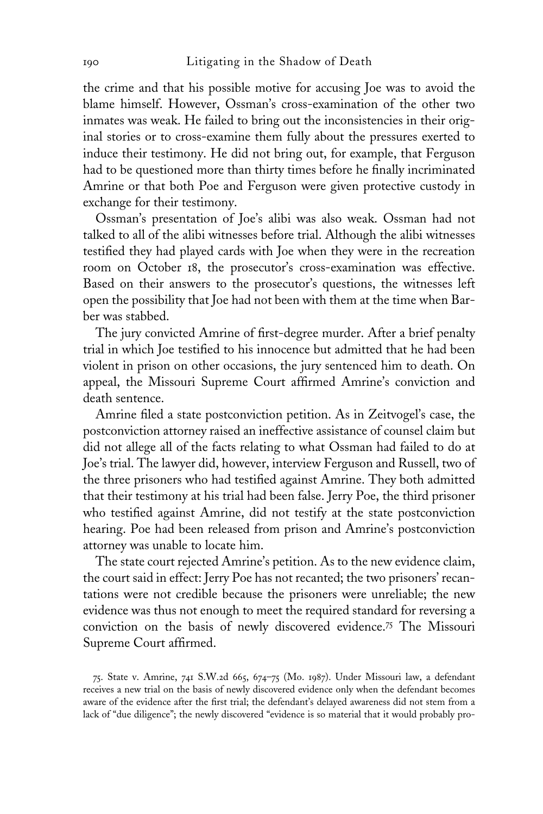the crime and that his possible motive for accusing Joe was to avoid the blame himself. However, Ossman's cross-examination of the other two inmates was weak. He failed to bring out the inconsistencies in their original stories or to cross-examine them fully about the pressures exerted to induce their testimony. He did not bring out, for example, that Ferguson had to be questioned more than thirty times before he finally incriminated Amrine or that both Poe and Ferguson were given protective custody in exchange for their testimony.

Ossman's presentation of Joe's alibi was also weak. Ossman had not talked to all of the alibi witnesses before trial. Although the alibi witnesses testified they had played cards with Joe when they were in the recreation room on October 18, the prosecutor's cross-examination was effective. Based on their answers to the prosecutor's questions, the witnesses left open the possibility that Joe had not been with them at the time when Barber was stabbed.

The jury convicted Amrine of first-degree murder. After a brief penalty trial in which Joe testified to his innocence but admitted that he had been violent in prison on other occasions, the jury sentenced him to death. On appeal, the Missouri Supreme Court affirmed Amrine's conviction and death sentence.

Amrine filed a state postconviction petition. As in Zeitvogel's case, the postconviction attorney raised an ineffective assistance of counsel claim but did not allege all of the facts relating to what Ossman had failed to do at Joe's trial. The lawyer did, however, interview Ferguson and Russell, two of the three prisoners who had testified against Amrine. They both admitted that their testimony at his trial had been false. Jerry Poe, the third prisoner who testified against Amrine, did not testify at the state postconviction hearing. Poe had been released from prison and Amrine's postconviction attorney was unable to locate him.

The state court rejected Amrine's petition. As to the new evidence claim, the court said in effect: Jerry Poe has not recanted; the two prisoners' recantations were not credible because the prisoners were unreliable; the new evidence was thus not enough to meet the required standard for reversing a conviction on the basis of newly discovered evidence.75 The Missouri Supreme Court affirmed.

75. State v. Amrine, 741 S.W.2d 665, 674–75 (Mo. 1987). Under Missouri law, a defendant receives a new trial on the basis of newly discovered evidence only when the defendant becomes aware of the evidence after the first trial; the defendant's delayed awareness did not stem from a lack of "due diligence"; the newly discovered "evidence is so material that it would probably pro-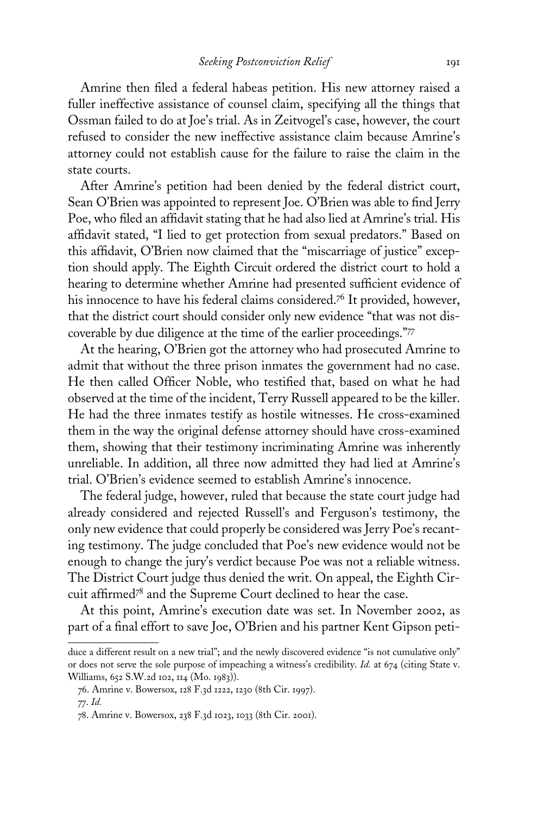Amrine then filed a federal habeas petition. His new attorney raised a fuller ineffective assistance of counsel claim, specifying all the things that Ossman failed to do at Joe's trial. As in Zeitvogel's case, however, the court refused to consider the new ineffective assistance claim because Amrine's attorney could not establish cause for the failure to raise the claim in the state courts.

After Amrine's petition had been denied by the federal district court, Sean O'Brien was appointed to represent Joe. O'Brien was able to find Jerry Poe, who filed an affidavit stating that he had also lied at Amrine's trial. His affidavit stated, "I lied to get protection from sexual predators." Based on this affidavit, O'Brien now claimed that the "miscarriage of justice" exception should apply. The Eighth Circuit ordered the district court to hold a hearing to determine whether Amrine had presented sufficient evidence of his innocence to have his federal claims considered.<sup>76</sup> It provided, however, that the district court should consider only new evidence "that was not discoverable by due diligence at the time of the earlier proceedings."77

At the hearing, O'Brien got the attorney who had prosecuted Amrine to admit that without the three prison inmates the government had no case. He then called Officer Noble, who testified that, based on what he had observed at the time of the incident, Terry Russell appeared to be the killer. He had the three inmates testify as hostile witnesses. He cross-examined them in the way the original defense attorney should have cross-examined them, showing that their testimony incriminating Amrine was inherently unreliable. In addition, all three now admitted they had lied at Amrine's trial. O'Brien's evidence seemed to establish Amrine's innocence.

The federal judge, however, ruled that because the state court judge had already considered and rejected Russell's and Ferguson's testimony, the only new evidence that could properly be considered was Jerry Poe's recanting testimony. The judge concluded that Poe's new evidence would not be enough to change the jury's verdict because Poe was not a reliable witness. The District Court judge thus denied the writ. On appeal, the Eighth Circuit affirmed<sup>78</sup> and the Supreme Court declined to hear the case.

At this point, Amrine's execution date was set. In November 2002, as part of a final effort to save Joe, O'Brien and his partner Kent Gipson peti-

duce a different result on a new trial"; and the newly discovered evidence "is not cumulative only" or does not serve the sole purpose of impeaching a witness's credibility. *Id.* at 674 (citing State v. Williams, 652 S.W.2d 102, 114 (Mo. 1983)).

<sup>76.</sup> Amrine v. Bowersox, 128 F.3d 1222, 1230 (8th Cir. 1997).

<sup>77.</sup> *Id.*

<sup>78.</sup> Amrine v. Bowersox, 238 F.3d 1023, 1033 (8th Cir. 2001).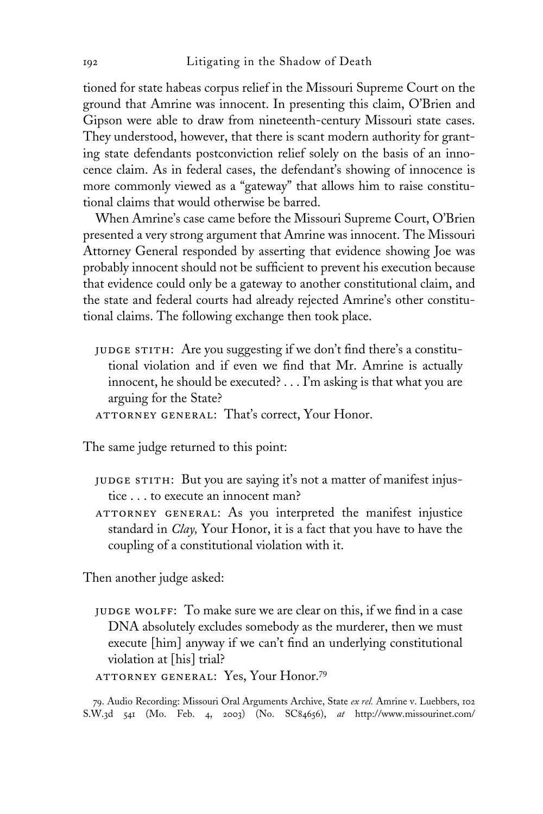tioned for state habeas corpus relief in the Missouri Supreme Court on the ground that Amrine was innocent. In presenting this claim, O'Brien and Gipson were able to draw from nineteenth-century Missouri state cases. They understood, however, that there is scant modern authority for granting state defendants postconviction relief solely on the basis of an innocence claim. As in federal cases, the defendant's showing of innocence is more commonly viewed as a "gateway" that allows him to raise constitutional claims that would otherwise be barred.

When Amrine's case came before the Missouri Supreme Court, O'Brien presented a very strong argument that Amrine was innocent. The Missouri Attorney General responded by asserting that evidence showing Joe was probably innocent should not be sufficient to prevent his execution because that evidence could only be a gateway to another constitutional claim, and the state and federal courts had already rejected Amrine's other constitutional claims. The following exchange then took place.

JUDGE STITH: Are you suggesting if we don't find there's a constitutional violation and if even we find that Mr. Amrine is actually innocent, he should be executed? . . . I'm asking is that what you are arguing for the State?

attorney general: That's correct, Your Honor.

The same judge returned to this point:

- JUDGE STITH: But you are saying it's not a matter of manifest injustice . . . to execute an innocent man?
- ATTORNEY GENERAL: As you interpreted the manifest injustice standard in *Clay,* Your Honor, it is a fact that you have to have the coupling of a constitutional violation with it.

Then another judge asked:

JUDGE WOLFF: To make sure we are clear on this, if we find in a case DNA absolutely excludes somebody as the murderer, then we must execute [him] anyway if we can't find an underlying constitutional violation at [his] trial?

attorney general: Yes, Your Honor.<sup>79</sup>

79. Audio Recording: Missouri Oral Arguments Archive, State *ex rel.* Amrine v. Luebbers, 102 S.W.3d 541 (Mo. Feb. 4, 2003) (No. SC84656), *at* http://www.missourinet.com/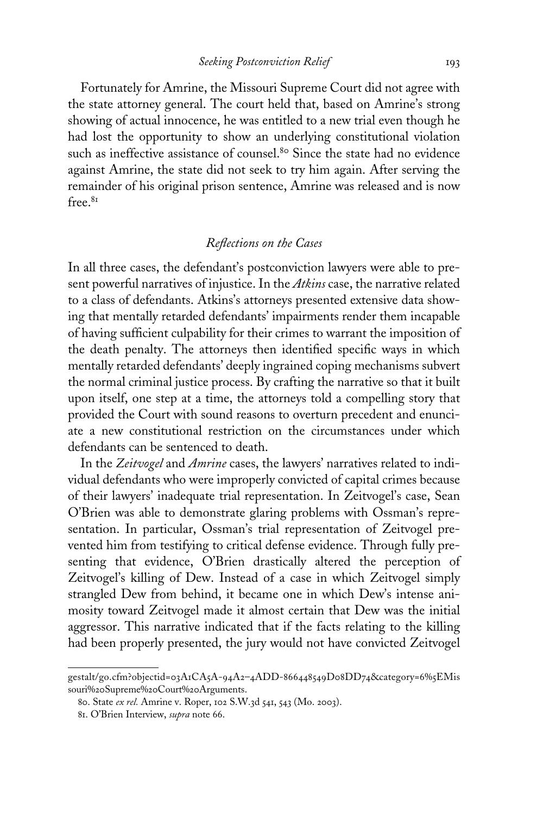Fortunately for Amrine, the Missouri Supreme Court did not agree with the state attorney general. The court held that, based on Amrine's strong showing of actual innocence, he was entitled to a new trial even though he had lost the opportunity to show an underlying constitutional violation such as ineffective assistance of counsel.<sup>80</sup> Since the state had no evidence against Amrine, the state did not seek to try him again. After serving the remainder of his original prison sentence, Amrine was released and is now  $free<sup>81</sup>$ 

#### $Reflections$  on the Cases

In all three cases, the defendant's postconviction lawyers were able to present powerful narratives of injustice. In the *Atkins* case, the narrative related to a class of defendants. Atkins's attorneys presented extensive data showing that mentally retarded defendants' impairments render them incapable of having sufficient culpability for their crimes to warrant the imposition of the death penalty. The attorneys then identified specific ways in which mentally retarded defendants' deeply ingrained coping mechanisms subvert the normal criminal justice process. By crafting the narrative so that it built upon itself, one step at a time, the attorneys told a compelling story that provided the Court with sound reasons to overturn precedent and enunciate a new constitutional restriction on the circumstances under which defendants can be sentenced to death.

In the *Zeitvogel* and *Amrine* cases, the lawyers' narratives related to individual defendants who were improperly convicted of capital crimes because of their lawyers' inadequate trial representation. In Zeitvogel's case, Sean O'Brien was able to demonstrate glaring problems with Ossman's representation. In particular, Ossman's trial representation of Zeitvogel prevented him from testifying to critical defense evidence. Through fully presenting that evidence, O'Brien drastically altered the perception of Zeitvogel's killing of Dew. Instead of a case in which Zeitvogel simply strangled Dew from behind, it became one in which Dew's intense animosity toward Zeitvogel made it almost certain that Dew was the initial aggressor. This narrative indicated that if the facts relating to the killing had been properly presented, the jury would not have convicted Zeitvogel

gestalt/go.cfm?objectid=03A1CA5A-94A2–4ADD-866448549D08DD74&category=6%5EMis souri%20Supreme%20Court%20Arguments.

<sup>80.</sup> State *ex rel.* Amrine v. Roper, 102 S.W.3d 541, 543 (Mo. 2003).

<sup>81.</sup> O'Brien Interview, *supra* note 66.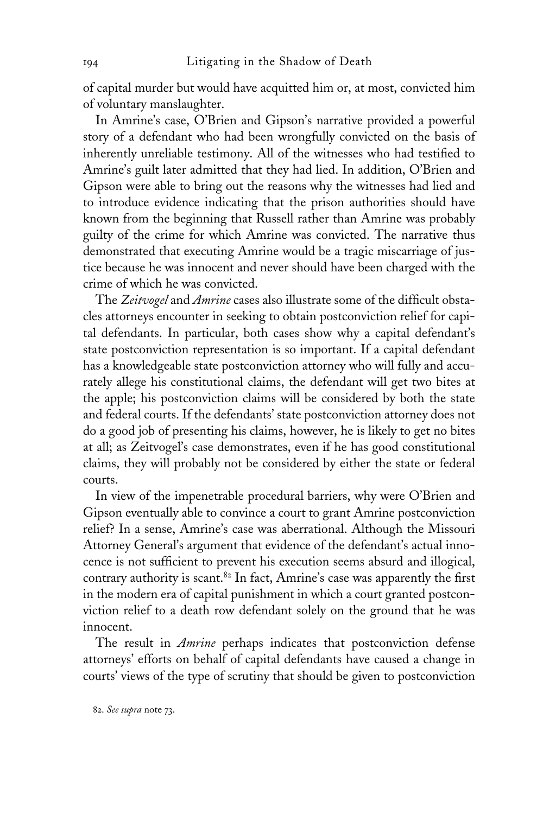of capital murder but would have acquitted him or, at most, convicted him of voluntary manslaughter.

In Amrine's case, O'Brien and Gipson's narrative provided a powerful story of a defendant who had been wrongfully convicted on the basis of inherently unreliable testimony. All of the witnesses who had testified to Amrine's guilt later admitted that they had lied. In addition, O'Brien and Gipson were able to bring out the reasons why the witnesses had lied and to introduce evidence indicating that the prison authorities should have known from the beginning that Russell rather than Amrine was probably guilty of the crime for which Amrine was convicted. The narrative thus demonstrated that executing Amrine would be a tragic miscarriage of justice because he was innocent and never should have been charged with the crime of which he was convicted.

The *Zeitvogel* and *Amrine* cases also illustrate some of the difficult obstacles attorneys encounter in seeking to obtain postconviction relief for capital defendants. In particular, both cases show why a capital defendant's state postconviction representation is so important. If a capital defendant has a knowledgeable state postconviction attorney who will fully and accurately allege his constitutional claims, the defendant will get two bites at the apple; his postconviction claims will be considered by both the state and federal courts. If the defendants' state postconviction attorney does not do a good job of presenting his claims, however, he is likely to get no bites at all; as Zeitvogel's case demonstrates, even if he has good constitutional claims, they will probably not be considered by either the state or federal courts.

In view of the impenetrable procedural barriers, why were O'Brien and Gipson eventually able to convince a court to grant Amrine postconviction relief? In a sense, Amrine's case was aberrational. Although the Missouri Attorney General's argument that evidence of the defendant's actual innocence is not sufficient to prevent his execution seems absurd and illogical, contrary authority is scant.<sup>82</sup> In fact, Amrine's case was apparently the first in the modern era of capital punishment in which a court granted postconviction relief to a death row defendant solely on the ground that he was innocent.

The result in *Amrine* perhaps indicates that postconviction defense attorneys' efforts on behalf of capital defendants have caused a change in courts' views of the type of scrutiny that should be given to postconviction

82. *See supra* note 73.